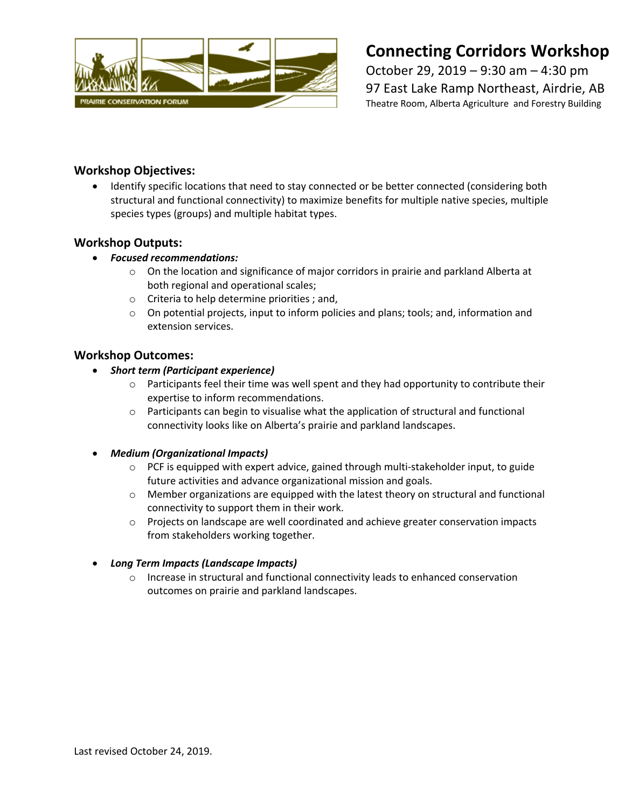

October 29, 2019 – 9:30 am – 4:30 pm 97 East Lake Ramp Northeast, Airdrie, AB Theatre Room, Alberta Agriculture and Forestry Building

## **Workshop Objectives:**

• Identify specific locations that need to stay connected or be better connected (considering both structural and functional connectivity) to maximize benefits for multiple native species, multiple species types (groups) and multiple habitat types.

## **Workshop Outputs:**

- *Focused recommendations:*
	- $\circ$  On the location and significance of major corridors in prairie and parkland Alberta at both regional and operational scales;
	- o Criteria to help determine priorities ; and,
	- $\circ$  On potential projects, input to inform policies and plans; tools; and, information and extension services.

### **Workshop Outcomes:**

- *Short term (Participant experience)*
	- o Participants feel their time was well spent and they had opportunity to contribute their expertise to inform recommendations.
	- o Participants can begin to visualise what the application of structural and functional connectivity looks like on Alberta's prairie and parkland landscapes.
- *Medium (Organizational Impacts)* 
	- $\circ$  PCF is equipped with expert advice, gained through multi-stakeholder input, to guide future activities and advance organizational mission and goals.
	- $\circ$  Member organizations are equipped with the latest theory on structural and functional connectivity to support them in their work.
	- o Projects on landscape are well coordinated and achieve greater conservation impacts from stakeholders working together.

#### • *Long Term Impacts (Landscape Impacts)*

 $\circ$  Increase in structural and functional connectivity leads to enhanced conservation outcomes on prairie and parkland landscapes.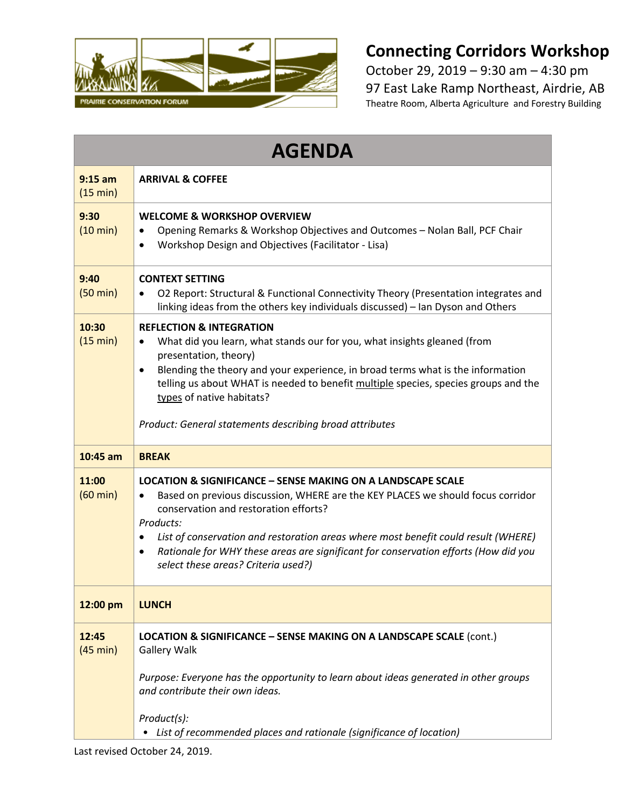

October 29, 2019 – 9:30 am – 4:30 pm 97 East Lake Ramp Northeast, Airdrie, AB Theatre Room, Alberta Agriculture and Forestry Building

| <b>AGENDA</b>               |                                                                                                                                                                                                                                                                                                                                                                                                                                                                            |
|-----------------------------|----------------------------------------------------------------------------------------------------------------------------------------------------------------------------------------------------------------------------------------------------------------------------------------------------------------------------------------------------------------------------------------------------------------------------------------------------------------------------|
| $9:15$ am<br>(15 min)       | <b>ARRIVAL &amp; COFFEE</b>                                                                                                                                                                                                                                                                                                                                                                                                                                                |
| 9:30<br>$(10 \text{ min})$  | <b>WELCOME &amp; WORKSHOP OVERVIEW</b><br>Opening Remarks & Workshop Objectives and Outcomes - Nolan Ball, PCF Chair<br>$\bullet$<br>Workshop Design and Objectives (Facilitator - Lisa)<br>$\bullet$                                                                                                                                                                                                                                                                      |
| 9:40<br>$(50 \text{ min})$  | <b>CONTEXT SETTING</b><br>O2 Report: Structural & Functional Connectivity Theory (Presentation integrates and<br>$\bullet$<br>linking ideas from the others key individuals discussed) - Ian Dyson and Others                                                                                                                                                                                                                                                              |
| 10:30<br>(15 min)           | <b>REFLECTION &amp; INTEGRATION</b><br>What did you learn, what stands our for you, what insights gleaned (from<br>$\bullet$<br>presentation, theory)<br>Blending the theory and your experience, in broad terms what is the information<br>$\bullet$<br>telling us about WHAT is needed to benefit multiple species, species groups and the<br>types of native habitats?<br>Product: General statements describing broad attributes                                       |
| $10:45$ am                  | <b>BREAK</b>                                                                                                                                                                                                                                                                                                                                                                                                                                                               |
| 11:00<br>$(60 \text{ min})$ | <b>LOCATION &amp; SIGNIFICANCE - SENSE MAKING ON A LANDSCAPE SCALE</b><br>Based on previous discussion, WHERE are the KEY PLACES we should focus corridor<br>$\bullet$<br>conservation and restoration efforts?<br>Products:<br>List of conservation and restoration areas where most benefit could result (WHERE)<br>$\bullet$<br>Rationale for WHY these areas are significant for conservation efforts (How did you<br>$\bullet$<br>select these areas? Criteria used?) |
| 12:00 pm                    | <b>LUNCH</b>                                                                                                                                                                                                                                                                                                                                                                                                                                                               |
| 12:45<br>(45 min)           | LOCATION & SIGNIFICANCE - SENSE MAKING ON A LANDSCAPE SCALE (cont.)<br><b>Gallery Walk</b><br>Purpose: Everyone has the opportunity to learn about ideas generated in other groups<br>and contribute their own ideas.                                                                                                                                                                                                                                                      |
|                             | Product(s):<br>List of recommended places and rationale (significance of location)                                                                                                                                                                                                                                                                                                                                                                                         |

Last revised October 24, 2019.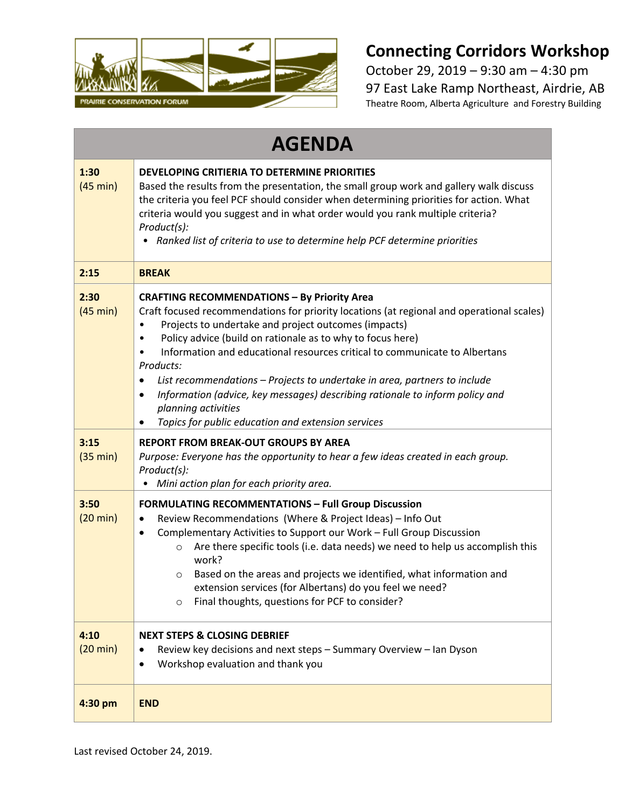

October 29, 2019 – 9:30 am – 4:30 pm 97 East Lake Ramp Northeast, Airdrie, AB Theatre Room, Alberta Agriculture and Forestry Building

۳

| <b>AGENDA</b>              |                                                                                                                                                                                                                                                                                                                                                                                                                                                                                                                                                                                                                                      |  |
|----------------------------|--------------------------------------------------------------------------------------------------------------------------------------------------------------------------------------------------------------------------------------------------------------------------------------------------------------------------------------------------------------------------------------------------------------------------------------------------------------------------------------------------------------------------------------------------------------------------------------------------------------------------------------|--|
| 1:30<br>(45 min)           | DEVELOPING CRITIERIA TO DETERMINE PRIORITIES<br>Based the results from the presentation, the small group work and gallery walk discuss<br>the criteria you feel PCF should consider when determining priorities for action. What<br>criteria would you suggest and in what order would you rank multiple criteria?<br>Product(s):<br>• Ranked list of criteria to use to determine help PCF determine priorities                                                                                                                                                                                                                     |  |
| 2:15                       | <b>BREAK</b>                                                                                                                                                                                                                                                                                                                                                                                                                                                                                                                                                                                                                         |  |
| 2:30<br>(45 min)           | <b>CRAFTING RECOMMENDATIONS - By Priority Area</b><br>Craft focused recommendations for priority locations (at regional and operational scales)<br>Projects to undertake and project outcomes (impacts)<br>Policy advice (build on rationale as to why to focus here)<br>Information and educational resources critical to communicate to Albertans<br>Products:<br>List recommendations - Projects to undertake in area, partners to include<br>$\bullet$<br>Information (advice, key messages) describing rationale to inform policy and<br>$\bullet$<br>planning activities<br>Topics for public education and extension services |  |
| 3:15<br>(35 min)           | <b>REPORT FROM BREAK-OUT GROUPS BY AREA</b><br>Purpose: Everyone has the opportunity to hear a few ideas created in each group.<br>Product(s):<br>Mini action plan for each priority area.                                                                                                                                                                                                                                                                                                                                                                                                                                           |  |
| 3:50<br>(20 min)           | <b>FORMULATING RECOMMENTATIONS - Full Group Discussion</b><br>Review Recommendations (Where & Project Ideas) - Info Out<br>$\bullet$<br>Complementary Activities to Support our Work - Full Group Discussion<br>$\bullet$<br>Are there specific tools (i.e. data needs) we need to help us accomplish this<br>$\circ$<br>work?<br>Based on the areas and projects we identified, what information and<br>$\circ$<br>extension services (for Albertans) do you feel we need?<br>Final thoughts, questions for PCF to consider?<br>$\circ$                                                                                             |  |
| 4:10<br>$(20 \text{ min})$ | <b>NEXT STEPS &amp; CLOSING DEBRIEF</b><br>Review key decisions and next steps - Summary Overview - Ian Dyson<br>٠<br>Workshop evaluation and thank you<br>$\bullet$                                                                                                                                                                                                                                                                                                                                                                                                                                                                 |  |
| 4:30 pm                    | <b>END</b>                                                                                                                                                                                                                                                                                                                                                                                                                                                                                                                                                                                                                           |  |